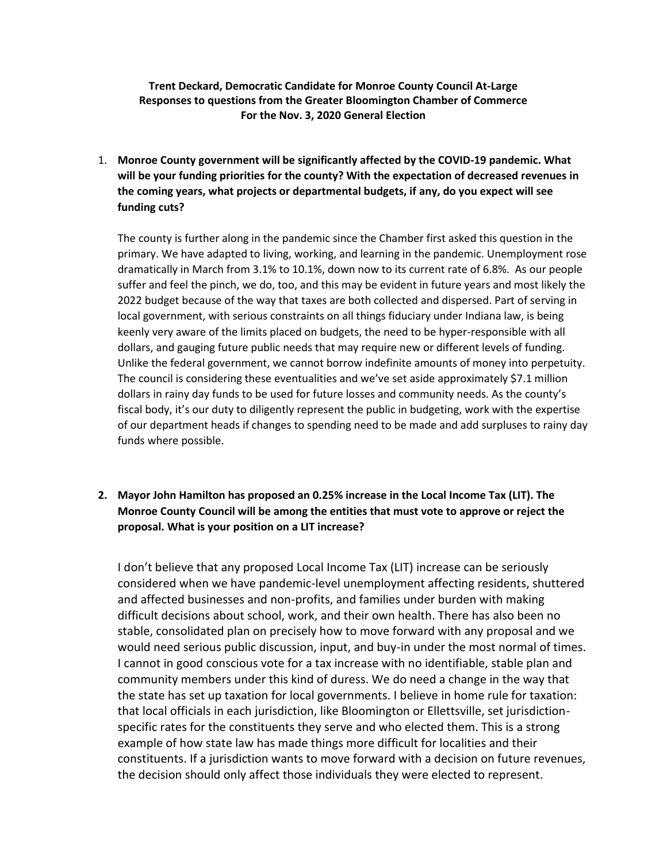## **Trent Deckard, Democratic Candidate for Monroe County Council At-Large Responses to questions from the Greater Bloomington Chamber of Commerce For the Nov. 3, 2020 General Election**

1. **Monroe County government will be significantly affected by the COVID-19 pandemic. What will be your funding priorities for the county? With the expectation of decreased revenues in the coming years, what projects or departmental budgets, if any, do you expect will see funding cuts?**

The county is further along in the pandemic since the Chamber first asked this question in the primary. We have adapted to living, working, and learning in the pandemic. Unemployment rose dramatically in March from 3.1% to 10.1%, down now to its current rate of 6.8%. As our people suffer and feel the pinch, we do, too, and this may be evident in future years and most likely the 2022 budget because of the way that taxes are both collected and dispersed. Part of serving in local government, with serious constraints on all things fiduciary under Indiana law, is being keenly very aware of the limits placed on budgets, the need to be hyper-responsible with all dollars, and gauging future public needs that may require new or different levels of funding. Unlike the federal government, we cannot borrow indefinite amounts of money into perpetuity. The council is considering these eventualities and we've set aside approximately \$7.1 million dollars in rainy day funds to be used for future losses and community needs. As the county's fiscal body, it's our duty to diligently represent the public in budgeting, work with the expertise of our department heads if changes to spending need to be made and add surpluses to rainy day funds where possible.

**2. Mayor John Hamilton has proposed an 0.25% increase in the Local Income Tax (LIT). The Monroe County Council will be among the entities that must vote to approve or reject the proposal. What is your position on a LIT increase?**

I don't believe that any proposed Local Income Tax (LIT) increase can be seriously considered when we have pandemic-level unemployment affecting residents, shuttered and affected businesses and non-profits, and families under burden with making difficult decisions about school, work, and their own health. There has also been no stable, consolidated plan on precisely how to move forward with any proposal and we would need serious public discussion, input, and buy-in under the most normal of times. I cannot in good conscious vote for a tax increase with no identifiable, stable plan and community members under this kind of duress. We do need a change in the way that the state has set up taxation for local governments. I believe in home rule for taxation: that local officials in each jurisdiction, like Bloomington or Ellettsville, set jurisdictionspecific rates for the constituents they serve and who elected them. This is a strong example of how state law has made things more difficult for localities and their constituents. If a jurisdiction wants to move forward with a decision on future revenues, the decision should only affect those individuals they were elected to represent.